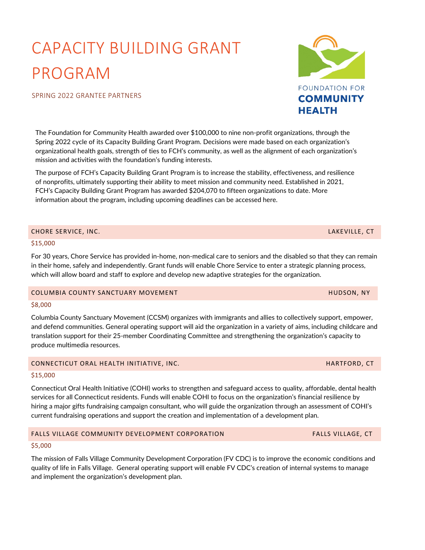# CAPACITY BUILDING GRANT PROGRAM

# SPRING 2022 GRANTEE PARTNERS

The Foundation for Community Health awarded over \$100,000 to nine non-profit organizations, through the Spring 2022 cycle of its Capacity Building Grant Program. Decisions were made based on each organization's organizational health goals, strength of ties to FCH's community, as well as the alignment of each organization's mission and activities with the foundation's funding interests.

The purpose of FCH's Capacity Building Grant Program is to increase the stability, effectiveness, and resilience of nonprofits, ultimately supporting their ability to meet mission and community need. Established in 2021, FCH's Capacity Building Grant Program has awarded \$204,070 to fifteen organizations to date. More information about the program, including upcoming deadlines can be accessed [here.](https://fchealth.org/grants/request-for-proposals)

# CHORE SERVICE, INC. LAKEVILLE, CT

### \$15,000

For 30 years, Chore Service has provided in-home, non-medical care to seniors and the disabled so that they can remain in their home, safely and independently. Grant funds will enable Chore Service to enter a strategic planning process, which will allow board and staff to explore and develop new adaptive strategies for the organization.

#### COLUMBIA COUNTY SANCTUARY MOVEMENT HUDSON, NY

#### \$8,000

Columbia County Sanctuary Movement (CCSM) organizes with immigrants and allies to collectively support, empower, and defend communities. General operating support will aid the organization in a variety of aims, including childcare and translation support for their 25-member Coordinating Committee and strengthening the organization's capacity to produce multimedia resources.

# CONNECTICUT ORAL HEALTH INITIATIVE, INC. The contract of the contract of the contract of the contract of the contract of the contract of the contract of the contract of the contract of the contract of the contract of the c

# \$15,000

Connecticut Oral Health Initiative (COHI) works to strengthen and safeguard access to quality, affordable, dental health services for all Connecticut residents. Funds will enable COHI to focus on the organization's financial resilience by hiring a major gifts fundraising campaign consultant, who will guide the organization through an assessment of COHI's current fundraising operations and support the creation and implementation of a development plan.

# FALLS VILLAGE COMMUNITY DEVELOPMENT CORPORATION FALLS VILLAGE, CT

# \$5,000

The mission of Falls Village Community Development Corporation (FV CDC) is to improve the economic conditions and quality of life in Falls Village. General operating support will enable FV CDC's creation of internal systems to manage and implement the organization's development plan.